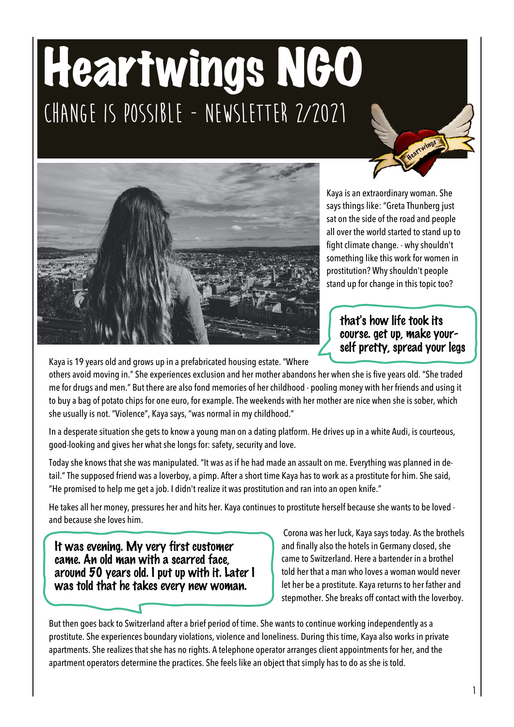## Heartwings NGO **Change is possible - Newsletter 2/2021**



Kaya is an extraordinary woman. She says things like: "Greta Thunberg just sat on the side of the road and people all over the world started to stand up to fight climate change. - why shouldn't something like this work for women in prostitution? Why shouldn't people stand up for change in this topic too?

that's how life took its course. get up, make yourself pretty, spread your legs

Kaya is 19 years old and grows up in a prefabricated housing estate. "Where

others avoid moving in." She experiences exclusion and her mother abandons her when she is five years old. "She traded me for drugs and men." But there are also fond memories of her childhood - pooling money with her friends and using it to buy a bag of potato chips for one euro, for example. The weekends with her mother are nice when she is sober, which she usually is not. "Violence", Kaya says, "was normal in my childhood."

In a desperate situation she gets to know a young man on a dating platform. He drives up in a white Audi, is courteous, good-looking and gives her what she longs for: safety, security and love.

Today she knows that she was manipulated. "It was as if he had made an assault on me. Everything was planned in detail." The supposed friend was a loverboy, a pimp. After a short time Kaya has to work as a prostitute for him. She said, "He promised to help me get a job. I didn't realize it was prostitution and ran into an open knife."

He takes all her money, pressures her and hits her. Kaya continues to prostitute herself because she wants to be loved and because she loves him.

It was evening. My very first customer came. An old man with a scarred face, around 50 years old. I put up with it. Later I was told that he takes every new woman.

Corona was her luck, Kaya says today. As the brothels and finally also the hotels in Germany closed, she came to Switzerland. Here a bartender in a brothel told her that a man who loves a woman would never let her be a prostitute. Kaya returns to her father and stepmother. She breaks off contact with the loverboy.

But then goes back to Switzerland after a brief period of time. She wants to continue working independently as a prostitute. She experiences boundary violations, violence and loneliness. During this time, Kaya also works in private apartments. She realizes that she has no rights. A telephone operator arranges client appointments for her, and the apartment operators determine the practices. She feels like an object that simply has to do as she is told.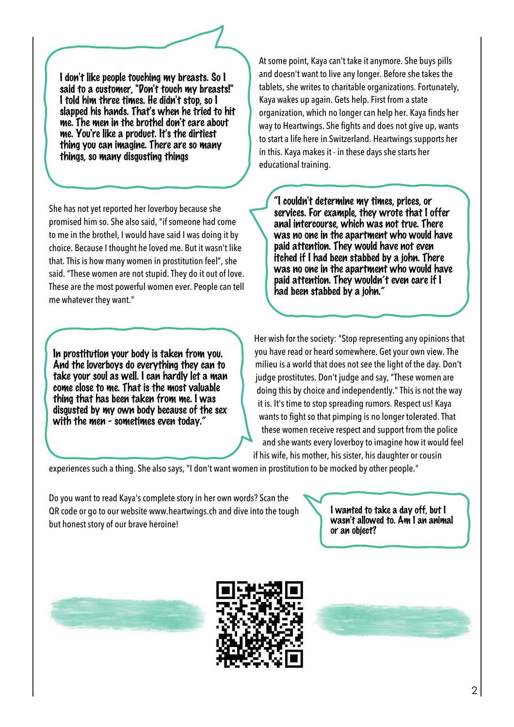I don't like people touching my breasts. So I said to a customer, "Don't touch my breasts!" I told him three times. He didn't stop, so I slapped his hands. That's when he tried to hit me. The men in the brothel don't care about me. You're like a product. It's the dirtiest thing you can imagine. There are so many things, so many disgusting things

She has not yet reported her loverboy because she promised him so. She also said, "if someone had come to me in the brothel, I would have said I was doing it by choice. Because I thought he loved me. But it wasn't like that. This is how many women in prostitution feel", she said. "These women are not stupid. They do it out of love. These are the most powerful women ever. People can tell me whatever they want."

In prostitution your body is taken from you. And the loverboys do everything they can to take your soul as well. I can hardly let a man come close to me. That is the most valuable thing that has been taken from me. I was disgusted by my own body because of the sex with the men - sometimes even today."

At some point, Kaya can't take it anymore. She buys pills and doesn't want to live any longer. Before she takes the tablets, she writes to charitable organizations. Fortunately, Kaya wakes up again. Gets help. First from a state organization, which no longer can help her. Kaya finds her way to Heartwings. She fights and does not give up, wants to start a life here in Switzerland. Heartwings supports her in this. Kaya makes it - in these days she starts her educational training.

"I couldn't determine my times, prices, or services. For example, they wrote that I offer anal intercourse, which was not true. There was no one in the apartment who would have paid attention. They would have not even itched if I had been stabbed by a john. There was no one in the apartment who would have paid attention. They wouldn't even care if I had been stabbed by a john."

Her wish for the society: "Stop representing any opinions that you have read or heard somewhere. Get your own view. The milieu is a world that does not see the light of the day. Don't judge prostitutes. Don't judge and say, "These women are doing this by choice and independently." This is not the way it is. It's time to stop spreading rumors. Respect us! Kaya wants to fight so that pimping is no longer tolerated. That these women receive respect and support from the police and she wants every loverboy to imagine how it would feel if his wife, his mother, his sister, his daughter or cousin

experiences such a thing. She also says, "I don't want women in prostitution to be mocked by other people."

Do you want to read Kaya's complete story in her own words? Scan the QR code or go to our website www.heartwings.ch and dive into the tough but honest story of our brave heroine!



I wanted to take a day off, but I wasn't allowed to. Am I an animal or an object?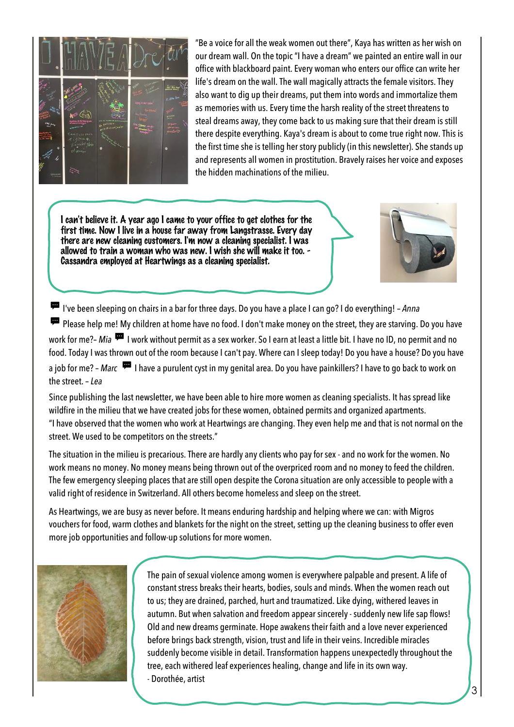

"Be a voice for all the weak women out there", Kaya has written as her wish on our dream wall. On the topic "I have a dream" we painted an entire wall in our office with blackboard paint. Every woman who enters our office can write her life's dream on the wall. The wall magically attracts the female visitors. They also want to dig up their dreams, put them into words and immortalize them as memories with us. Every time the harsh reality of the street threatens to steal dreams away, they come back to us making sure that their dream is still there despite everything. Kaya's dream is about to come true right now. This is the first time she is telling her story publicly (in this newsletter). She stands up and represents all women in prostitution. Bravely raises her voice and exposes the hidden machinations of the milieu.

I can't believe it. A year ago I came to your office to get clothes for the first time. Now I live in a house far away from Langstrasse. Every day there are new cleaning customers. I'm now a cleaning specialist. I was allowed to train a woman who was new. I wish she will make it too. - Cassandra employed at Heartwings as a cleaning specialist.



I've been sleeping on chairs in a bar for three days. Do you have a place I can go? I do everything! – *Anna* Please help me! My children at home have no food. I don't make money on the street, they are starving. Do you have work for me?– *Mia*  $\overline{P}$  I work without permit as a sex worker. So I earn at least a little bit. I have no ID, no permit and no food. Today I was thrown out of the room because I can't pay. Where can I sleep today! Do you have a house? Do you have a job for me? – *Marc*  $\overline{P}$  I have a purulent cyst in my genital area. Do you have painkillers? I have to go back to work on the street. – *Lea*

Since publishing the last newsletter, we have been able to hire more women as cleaning specialists. It has spread like wildfire in the milieu that we have created jobs for these women, obtained permits and organized apartments. "I have observed that the women who work at Heartwings are changing. They even help me and that is not normal on the street. We used to be competitors on the streets."

The situation in the milieu is precarious. There are hardly any clients who pay for sex - and no work for the women. No work means no money. No money means being thrown out of the overpriced room and no money to feed the children. The few emergency sleeping places that are still open despite the Corona situation are only accessible to people with a valid right of residence in Switzerland. All others become homeless and sleep on the street.

As Heartwings, we are busy as never before. It means enduring hardship and helping where we can: with Migros vouchers for food, warm clothes and blankets for the night on the street, setting up the cleaning business to offer even more job opportunities and follow-up solutions for more women.



The pain of sexual violence among women is everywhere palpable and present. A life of constant stress breaks their hearts, bodies, souls and minds. When the women reach out to us; they are drained, parched, hurt and traumatized. Like dying, withered leaves in autumn. But when salvation and freedom appear sincerely - suddenly new life sap flows! Old and new dreams germinate. Hope awakens their faith and a love never experienced before brings back strength, vision, trust and life in their veins. Incredible miracles suddenly become visible in detail. Transformation happens unexpectedly throughout the tree, each withered leaf experiences healing, change and life in its own way. - Dorothée, artist